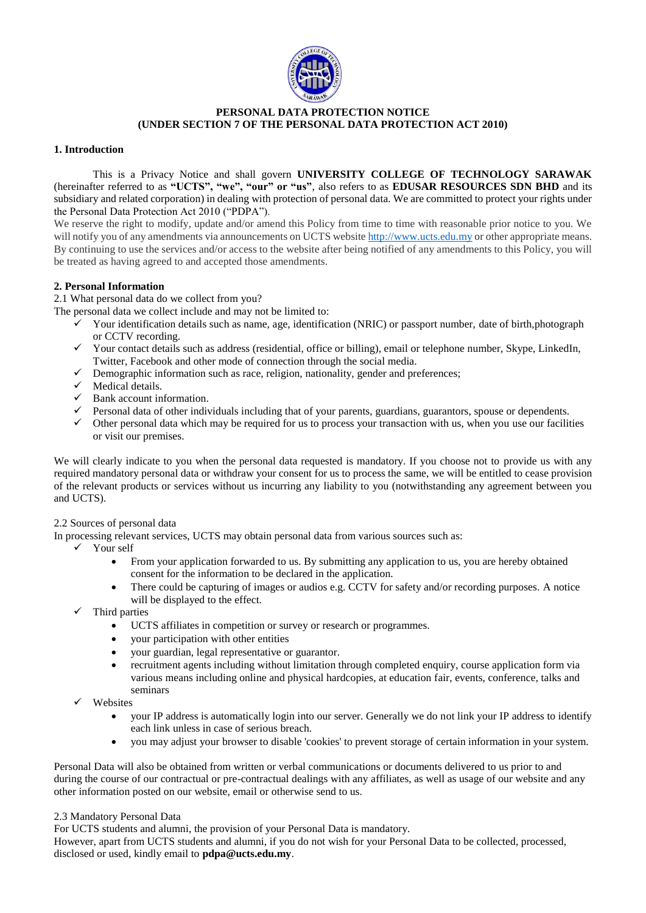

## **PERSONAL DATA PROTECTION NOTICE (UNDER SECTION 7 OF THE PERSONAL DATA PROTECTION ACT 2010)**

## **1. Introduction**

This is a Privacy Notice and shall govern **UNIVERSITY COLLEGE OF TECHNOLOGY SARAWAK** (hereinafter referred to as **"UCTS", "we", "our" or "us"**, also refers to as **EDUSAR RESOURCES SDN BHD** and its subsidiary and related corporation) in dealing with protection of personal data. We are committed to protect your rights under the Personal Data Protection Act 2010 ("PDPA").

We reserve the right to modify, update and/or amend this Policy from time to time with reasonable prior notice to you. We will notify you of any amendments via announcements on UCTS websit[e http://www.ucts.edu.my](http://www.ucts.edu.my/) or other appropriate means. By continuing to use the services and/or access to the website after being notified of any amendments to this Policy, you will be treated as having agreed to and accepted those amendments.

# **2. Personal Information**

2.1 What personal data do we collect from you?

The personal data we collect include and may not be limited to:

- $\checkmark$  Your identification details such as name, age, identification (NRIC) or passport number, date of birth,photograph or CCTV recording.
- $\checkmark$  Your contact details such as address (residential, office or billing), email or telephone number, Skype, LinkedIn, Twitter, Facebook and other mode of connection through the social media.
- $\checkmark$  Demographic information such as race, religion, nationality, gender and preferences;
- $\checkmark$  Medical details.
- $\checkmark$  Bank account information.
- $\checkmark$  Personal data of other individuals including that of your parents, guardians, guarantors, spouse or dependents.
- $\checkmark$  Other personal data which may be required for us to process your transaction with us, when you use our facilities or visit our premises.

We will clearly indicate to you when the personal data requested is mandatory. If you choose not to provide us with any required mandatory personal data or withdraw your consent for us to process the same, we will be entitled to cease provision of the relevant products or services without us incurring any liability to you (notwithstanding any agreement between you and UCTS).

### 2.2 Sources of personal data

In processing relevant services, UCTS may obtain personal data from various sources such as:

- $\checkmark$  Your self
	- From your application forwarded to us. By submitting any application to us, you are hereby obtained consent for the information to be declared in the application.
	- There could be capturing of images or audios e.g. CCTV for safety and/or recording purposes. A notice will be displayed to the effect.
- Third parties
	- UCTS affiliates in competition or survey or research or programmes.
	- your participation with other entities
	- your guardian, legal representative or guarantor.
	- recruitment agents including without limitation through completed enquiry, course application form via various means including online and physical hardcopies, at education fair, events, conference, talks and seminars
- Websites
	- your IP address is automatically login into our server. Generally we do not link your IP address to identify each link unless in case of serious breach.
	- you may adjust your browser to disable 'cookies' to prevent storage of certain information in your system.

Personal Data will also be obtained from written or verbal communications or documents delivered to us prior to and during the course of our contractual or pre-contractual dealings with any affiliates, as well as usage of our website and any other information posted on our website, email or otherwise send to us.

### 2.3 Mandatory Personal Data

For UCTS students and alumni, the provision of your Personal Data is mandatory.

However, apart from UCTS students and alumni, if you do not wish for your Personal Data to be collected, processed, disclosed or used, kindly email to **pdpa@ucts.edu.my**.